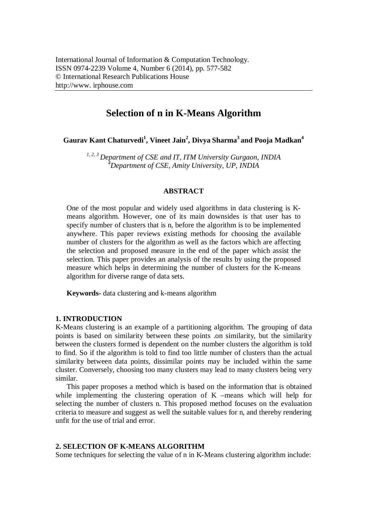# **Selection of n in K-Means Algorithm**

**Gaurav Kant Chaturvedi<sup>1</sup> , Vineet Jain<sup>2</sup> , Divya Sharma<sup>3</sup>and Pooja Madkan<sup>4</sup>**

*1, 2, 3 Department of CSE and IT, ITM University Gurgaon, INDIA <sup>4</sup>Department of CSE, Amity University, UP, INDIA*

## **ABSTRACT**

One of the most popular and widely used algorithms in data clustering is Kmeans algorithm. However, one of its main downsides is that user has to specify number of clusters that is n, before the algorithm is to be implemented anywhere. This paper reviews existing methods for choosing the available number of clusters for the algorithm as well as the factors which are affecting the selection and proposed measure in the end of the paper which assist the selection. This paper provides an analysis of the results by using the proposed measure which helps in determining the number of clusters for the K-means algorithm for diverse range of data sets.

**Keywords-** data clustering and k-means algorithm

#### **1. INTRODUCTION**

K-Means clustering is an example of a partitioning algorithm. The grouping of data points is based on similarity between these points .on similarity, but the similarity between the clusters formed is dependent on the number clusters the algorithm is told to find. So if the algorithm is told to find too little number of clusters than the actual similarity between data points, dissimilar points may be included within the same cluster. Conversely, choosing too many clusters may lead to many clusters being very similar.

This paper proposes a method which is based on the information that is obtained while implementing the clustering operation of K –means which will help for selecting the number of clusters n. This proposed method focuses on the evaluation criteria to measure and suggest as well the suitable values for n, and thereby rendering unfit for the use of trial and error.

# **2. SELECTION OF K-MEANS ALGORITHM**

Some techniques for selecting the value of n in K-Means clustering algorithm include: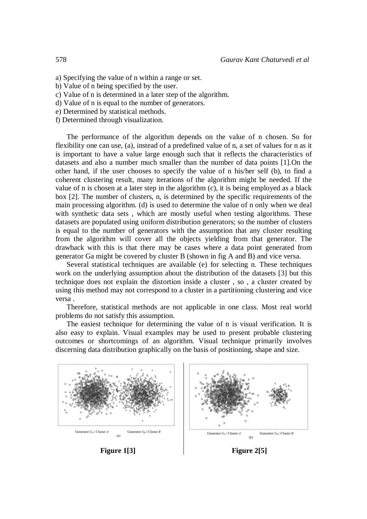- a) Specifying the value of n within a range or set.
- b) Value of n being specified by the user.
- c) Value of n is determined in a later step of the algorithm.
- d) Value of n is equal to the number of generators.
- e) Determined by statistical methods.
- f) Determined through visualization.

The performance of the algorithm depends on the value of n chosen. So for flexibility one can use, (a), instead of a predefined value of n, a set of values for n as it is important to have a value large enough such that it reflects the characteristics of datasets and also a number much smaller than the number of data points [1].On the other hand, if the user chooses to specify the value of n his/her self (b), to find a coherent clustering result, many iterations of the algorithm might be needed. If the value of n is chosen at a later step in the algorithm (c), it is being employed as a black box [2]. The number of clusters, n, is determined by the specific requirements of the main processing algorithm. (d) is used to determine the value of n only when we deal with synthetic data sets, which are mostly useful when testing algorithms. These datasets are populated using uniform distribution generators; so the number of clusters is equal to the number of generators with the assumption that any cluster resulting from the algorithm will cover all the objects yielding from that generator. The drawback with this is that there may be cases where a data point generated from generator Ga might be covered by cluster B (shown in fig A and B) and vice versa.

Several statistical techniques are available (e) for selecting n. These techniques work on the underlying assumption about the distribution of the datasets [3] but this technique does not explain the distortion inside a cluster , so , a cluster created by using this method may not correspond to a cluster in a partitioning clustering and vice versa .

Therefore, statistical methods are not applicable in one class. Most real world problems do not satisfy this assumption.

The easiest technique for determining the value of n is visual verification. It is also easy to explain. Visual examples may be used to present probable clustering outcomes or shortcomings of an algorithm. Visual technique primarily involves discerning data distribution graphically on the basis of positioning, shape and size.

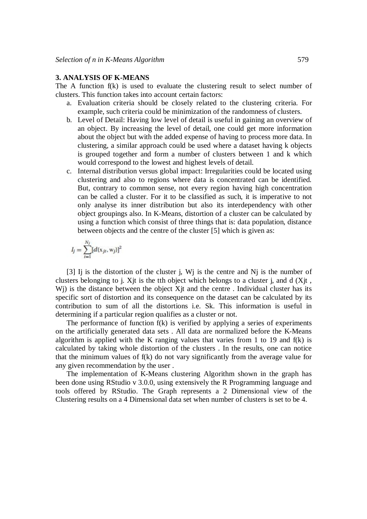## **3. ANALYSIS OF K-MEANS**

The A function f(k) is used to evaluate the clustering result to select number of clusters. This function takes into account certain factors:

- a. Evaluation criteria should be closely related to the clustering criteria. For example, such criteria could be minimization of the randomness of clusters.
- b. Level of Detail: Having low level of detail is useful in gaining an overview of an object. By increasing the level of detail, one could get more information about the object but with the added expense of having to process more data. In clustering, a similar approach could be used where a dataset having k objects is grouped together and form a number of clusters between 1 and k which would correspond to the lowest and highest levels of detail.
- c. Internal distribution versus global impact: Irregularities could be located using clustering and also to regions where data is concentrated can be identified. But, contrary to common sense, not every region having high concentration can be called a cluster. For it to be classified as such, it is imperative to not only analyse its inner distribution but also its interdependency with other object groupings also. In K-Means, distortion of a cluster can be calculated by using a function which consist of three things that is: data population, distance between objects and the centre of the cluster [5] which is given as:

$$
I_j = \sum_{t=1}^{N_j} [d(x_{jt}, w_j)]^2
$$

[3] Ij is the distortion of the cluster j, Wj is the centre and Nj is the number of clusters belonging to j. Xjt is the tth object which belongs to a cluster j, and d (Xjt , W<sub>i</sub>) is the distance between the object X<sub>jt</sub> and the centre . Individual cluster has its specific sort of distortion and its consequence on the dataset can be calculated by its contribution to sum of all the distortions i.e. Sk. This information is useful in determining if a particular region qualifies as a cluster or not.

The performance of function f(k) is verified by applying a series of experiments on the artificially generated data sets . All data are normalized before the K-Means algorithm is applied with the K ranging values that varies from 1 to 19 and f(k) is calculated by taking whole distortion of the clusters . In the results, one can notice that the minimum values of f(k) do not vary significantly from the average value for any given recommendation by the user .

The implementation of K-Means clustering Algorithm shown in the graph has been done using RStudio v 3.0.0, using extensively the R Programming language and tools offered by RStudio. The Graph represents a 2 Dimensional view of the Clustering results on a 4 Dimensional data set when number of clusters is set to be 4.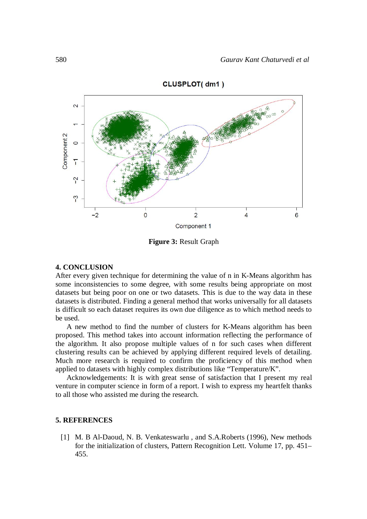

CLUSPLOT(dm1)

**Figure 3:** Result Graph

#### **4. CONCLUSION**

After every given technique for determining the value of n in K-Means algorithm has some inconsistencies to some degree, with some results being appropriate on most datasets but being poor on one or two datasets. This is due to the way data in these datasets is distributed. Finding a general method that works universally for all datasets is difficult so each dataset requires its own due diligence as to which method needs to be used.

A new method to find the number of clusters for K-Means algorithm has been proposed. This method takes into account information reflecting the performance of the algorithm. It also propose multiple values of n for such cases when different clustering results can be achieved by applying different required levels of detailing. Much more research is required to confirm the proficiency of this method when applied to datasets with highly complex distributions like "Temperature/K".

Acknowledgements: It is with great sense of satisfaction that I present my real venture in computer science in form of a report. I wish to express my heartfelt thanks to all those who assisted me during the research.

#### **5. REFERENCES**

[1] M. B Al-Daoud, N. B. Venkateswarlu , and S.A.Roberts (1996), New methods for the initialization of clusters, Pattern Recognition Lett. Volume 17, pp. 451– 455.